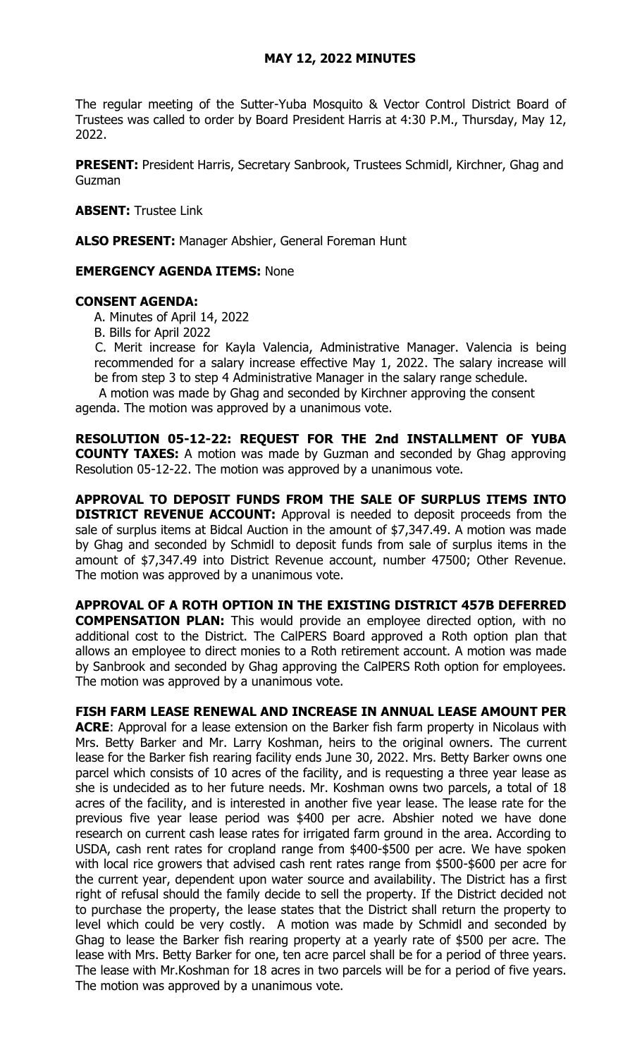## **MAY 12, 2022 MINUTES**

The regular meeting of the Sutter-Yuba Mosquito & Vector Control District Board of Trustees was called to order by Board President Harris at 4:30 P.M., Thursday, May 12, 2022.

**PRESENT:** President Harris, Secretary Sanbrook, Trustees Schmidl, Kirchner, Ghag and Guzman

**ABSENT:** Trustee Link

**ALSO PRESENT:** Manager Abshier, General Foreman Hunt

## **EMERGENCY AGENDA ITEMS:** None

## **CONSENT AGENDA:**

A. Minutes of April 14, 2022

B. Bills for April 2022

C. Merit increase for Kayla Valencia, Administrative Manager. Valencia is being recommended for a salary increase effective May 1, 2022. The salary increase will be from step 3 to step 4 Administrative Manager in the salary range schedule.

A motion was made by Ghag and seconded by Kirchner approving the consent

agenda. The motion was approved by a unanimous vote.

The motion was approved by a unanimous vote.

**RESOLUTION 05-12-22: REQUEST FOR THE 2nd INSTALLMENT OF YUBA COUNTY TAXES:** A motion was made by Guzman and seconded by Ghag approving Resolution 05-12-22. The motion was approved by a unanimous vote.

**APPROVAL TO DEPOSIT FUNDS FROM THE SALE OF SURPLUS ITEMS INTO DISTRICT REVENUE ACCOUNT:** Approval is needed to deposit proceeds from the sale of surplus items at Bidcal Auction in the amount of \$7,347.49. A motion was made by Ghag and seconded by Schmidl to deposit funds from sale of surplus items in the amount of \$7,347.49 into District Revenue account, number 47500; Other Revenue. The motion was approved by a unanimous vote.

**APPROVAL OF A ROTH OPTION IN THE EXISTING DISTRICT 457B DEFERRED COMPENSATION PLAN:** This would provide an employee directed option, with no additional cost to the District. The CalPERS Board approved a Roth option plan that allows an employee to direct monies to a Roth retirement account. A motion was made by Sanbrook and seconded by Ghag approving the CalPERS Roth option for employees. The motion was approved by a unanimous vote.

**FISH FARM LEASE RENEWAL AND INCREASE IN ANNUAL LEASE AMOUNT PER ACRE**: Approval for a lease extension on the Barker fish farm property in Nicolaus with Mrs. Betty Barker and Mr. Larry Koshman, heirs to the original owners. The current lease for the Barker fish rearing facility ends June 30, 2022. Mrs. Betty Barker owns one parcel which consists of 10 acres of the facility, and is requesting a three year lease as she is undecided as to her future needs. Mr. Koshman owns two parcels, a total of 18 acres of the facility, and is interested in another five year lease. The lease rate for the previous five year lease period was \$400 per acre. Abshier noted we have done research on current cash lease rates for irrigated farm ground in the area. According to USDA, cash rent rates for cropland range from \$400-\$500 per acre. We have spoken with local rice growers that advised cash rent rates range from \$500-\$600 per acre for the current year, dependent upon water source and availability. The District has a first right of refusal should the family decide to sell the property. If the District decided not to purchase the property, the lease states that the District shall return the property to level which could be very costly. A motion was made by Schmidl and seconded by Ghag to lease the Barker fish rearing property at a yearly rate of \$500 per acre. The lease with Mrs. Betty Barker for one, ten acre parcel shall be for a period of three years. The lease with Mr.Koshman for 18 acres in two parcels will be for a period of five years.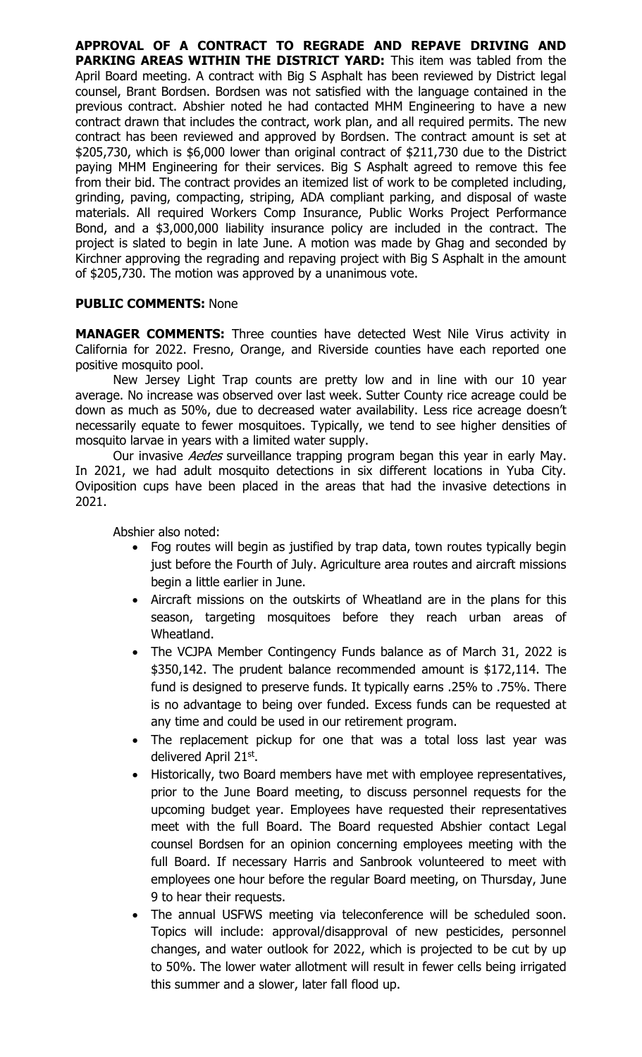**APPROVAL OF A CONTRACT TO REGRADE AND REPAVE DRIVING AND PARKING AREAS WITHIN THE DISTRICT YARD:** This item was tabled from the April Board meeting. A contract with Big S Asphalt has been reviewed by District legal counsel, Brant Bordsen. Bordsen was not satisfied with the language contained in the previous contract. Abshier noted he had contacted MHM Engineering to have a new contract drawn that includes the contract, work plan, and all required permits. The new contract has been reviewed and approved by Bordsen. The contract amount is set at \$205,730, which is \$6,000 lower than original contract of \$211,730 due to the District paying MHM Engineering for their services. Big S Asphalt agreed to remove this fee from their bid. The contract provides an itemized list of work to be completed including, grinding, paving, compacting, striping, ADA compliant parking, and disposal of waste materials. All required Workers Comp Insurance, Public Works Project Performance Bond, and a \$3,000,000 liability insurance policy are included in the contract. The project is slated to begin in late June. A motion was made by Ghag and seconded by Kirchner approving the regrading and repaving project with Big S Asphalt in the amount of \$205,730. The motion was approved by a unanimous vote.

## **PUBLIC COMMENTS:** None

**MANAGER COMMENTS:** Three counties have detected West Nile Virus activity in California for 2022. Fresno, Orange, and Riverside counties have each reported one positive mosquito pool.

New Jersey Light Trap counts are pretty low and in line with our 10 year average. No increase was observed over last week. Sutter County rice acreage could be down as much as 50%, due to decreased water availability. Less rice acreage doesn't necessarily equate to fewer mosquitoes. Typically, we tend to see higher densities of mosquito larvae in years with a limited water supply.

Our invasive Aedes surveillance trapping program began this year in early May. In 2021, we had adult mosquito detections in six different locations in Yuba City. Oviposition cups have been placed in the areas that had the invasive detections in 2021.

Abshier also noted:

- Fog routes will begin as justified by trap data, town routes typically begin just before the Fourth of July. Agriculture area routes and aircraft missions begin a little earlier in June.
- Aircraft missions on the outskirts of Wheatland are in the plans for this season, targeting mosquitoes before they reach urban areas of Wheatland.
- The VCJPA Member Contingency Funds balance as of March 31, 2022 is \$350,142. The prudent balance recommended amount is \$172,114. The fund is designed to preserve funds. It typically earns .25% to .75%. There is no advantage to being over funded. Excess funds can be requested at any time and could be used in our retirement program.
- The replacement pickup for one that was a total loss last year was delivered April 21st.
- Historically, two Board members have met with employee representatives, prior to the June Board meeting, to discuss personnel requests for the upcoming budget year. Employees have requested their representatives meet with the full Board. The Board requested Abshier contact Legal counsel Bordsen for an opinion concerning employees meeting with the full Board. If necessary Harris and Sanbrook volunteered to meet with employees one hour before the regular Board meeting, on Thursday, June 9 to hear their requests.
- The annual USFWS meeting via teleconference will be scheduled soon. Topics will include: approval/disapproval of new pesticides, personnel changes, and water outlook for 2022, which is projected to be cut by up to 50%. The lower water allotment will result in fewer cells being irrigated this summer and a slower, later fall flood up.